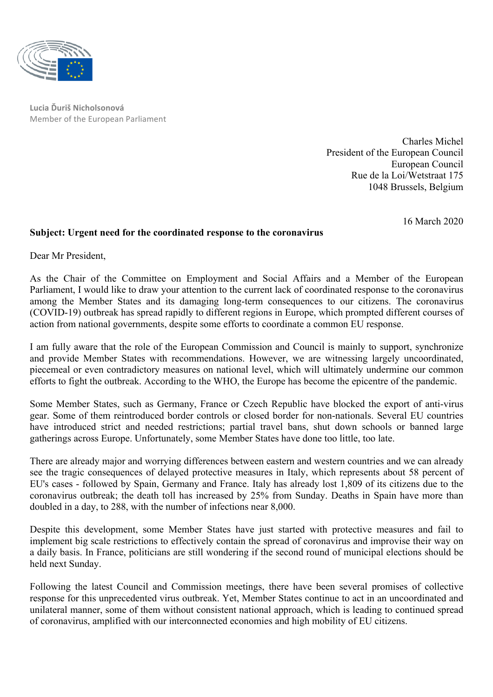

**Lucia Ďuriš Nicholsonová** Member of the European Parliament

> Charles Michel President of the European Council European Council Rue de la Loi/Wetstraat 175 1048 Brussels, Belgium

> > 16 March 2020

## **Subject: Urgent need for the coordinated response to the coronavirus**

Dear Mr President,

As the Chair of the Committee on Employment and Social Affairs and a Member of the European Parliament, I would like to draw your attention to the current lack of coordinated response to the coronavirus among the Member States and its damaging long-term consequences to our citizens. The coronavirus (COVID-19) outbreak has spread rapidly to different regions in Europe, which prompted different courses of action from national governments, despite some efforts to coordinate a common EU response.

I am fully aware that the role of the European Commission and Council is mainly to support, synchronize and provide Member States with recommendations. However, we are witnessing largely uncoordinated, piecemeal or even contradictory measures on national level, which will ultimately undermine our common efforts to fight the outbreak. According to the WHO, the Europe has become the epicentre of the pandemic.

Some Member States, such as Germany, France or Czech Republic have blocked the export of anti-virus gear. Some of them reintroduced border controls or closed border for non-nationals. Several EU countries have introduced strict and needed restrictions; partial travel bans, shut down schools or banned large gatherings across Europe. Unfortunately, some Member States have done too little, too late.

There are already major and worrying differences between eastern and western countries and we can already see the tragic consequences of delayed protective measures in Italy, which represents about 58 percent of EU's cases - followed by Spain, Germany and France. Italy has already lost 1,809 of its citizens due to the coronavirus outbreak; the death toll has increased by 25% from Sunday. Deaths in Spain have more than doubled in a day, to 288, with the number of infections near 8,000.

Despite this development, some Member States have just started with protective measures and fail to implement big scale restrictions to effectively contain the spread of coronavirus and improvise their way on a daily basis. In France, politicians are still wondering if the second round of municipal elections should be held next Sunday.

Following the latest Council and Commission meetings, there have been several promises of collective response for this unprecedented virus outbreak. Yet, Member States continue to act in an uncoordinated and unilateral manner, some of them without consistent national approach, which is leading to continued spread of coronavirus, amplified with our interconnected economies and high mobility of EU citizens.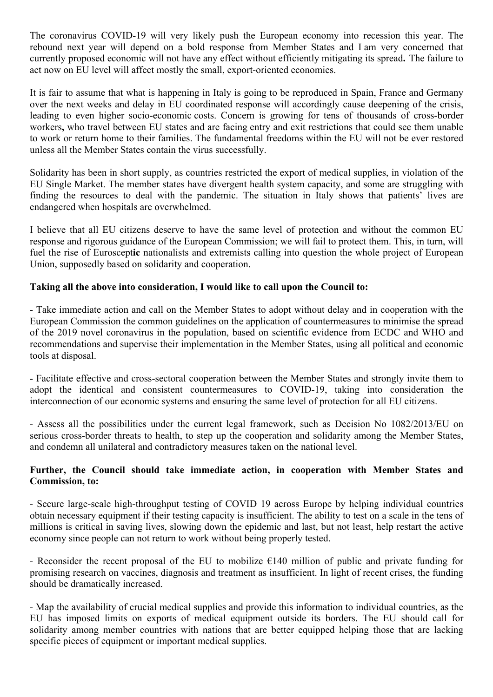The coronavirus COVID-19 will very likely push the European economy into recession this year. The rebound next year will depend on a bold response from Member States and I am very concerned that currently proposed economic will not have any effect without efficiently mitigating its spread**.** The failure to act now on EU level will affect mostly the small, export-oriented economies.

It is fair to assume that what is happening in Italy is going to be reproduced in Spain, France and Germany over the next weeks and delay in EU coordinated response will accordingly cause deepening of the crisis, leading to even higher socio-economic costs. Concern is growing for tens of thousands of cross-border workers**,** who travel between EU states and are facing entry and exit restrictions that could see them unable to work or return home to their families. The fundamental freedoms within the EU will not be ever restored unless all the Member States contain the virus successfully.

Solidarity has been in short supply, as countries restricted the export of medical supplies, in violation of the EU Single Market. The member states have divergent health system capacity, and some are struggling with finding the resources to deal with the pandemic. The situation in Italy shows that patients' lives are endangered when hospitals are overwhelmed.

I believe that all EU citizens deserve to have the same level of protection and without the common EU response and rigorous guidance of the European Commission; we will fail to protect them. This, in turn, will fuel the rise of Euroscept**ic** nationalists and extremists calling into question the whole project of European Union, supposedly based on solidarity and cooperation.

## **Taking all the above into consideration, I would like to call upon the Council to:**

- Take immediate action and call on the Member States to adopt without delay and in cooperation with the European Commission the common guidelines on the application of countermeasures to minimise the spread of the 2019 novel coronavirus in the population, based on scientific evidence from ECDC and WHO and recommendations and supervise their implementation in the Member States, using all political and economic tools at disposal.

- Facilitate effective and cross-sectoral cooperation between the Member States and strongly invite them to adopt the identical and consistent countermeasures to COVID-19, taking into consideration the interconnection of our economic systems and ensuring the same level of protection for all EU citizens.

- Assess all the possibilities under the current legal framework, such as Decision No 1082/2013/EU on serious cross-border threats to health, to step up the cooperation and solidarity among the Member States, and condemn all unilateral and contradictory measures taken on the national level.

## **Further, the Council should take immediate action, in cooperation with Member States and Commission, to:**

- Secure large-scale high-throughput testing of COVID 19 across Europe by helping individual countries obtain necessary equipment if their testing capacity is insufficient. The ability to test on a scale in the tens of millions is critical in saving lives, slowing down the epidemic and last, but not least, help restart the active economy since people can not return to work without being properly tested.

- Reconsider the recent proposal of the EU to mobilize  $\epsilon$ 140 million of public and private funding for promising research on vaccines, diagnosis and treatment as insufficient. In light of recent crises, the funding should be dramatically increased.

- Map the availability of crucial medical supplies and provide this information to individual countries, as the EU has imposed limits on exports of medical equipment outside its borders. The EU should call for solidarity among member countries with nations that are better equipped helping those that are lacking specific pieces of equipment or important medical supplies.